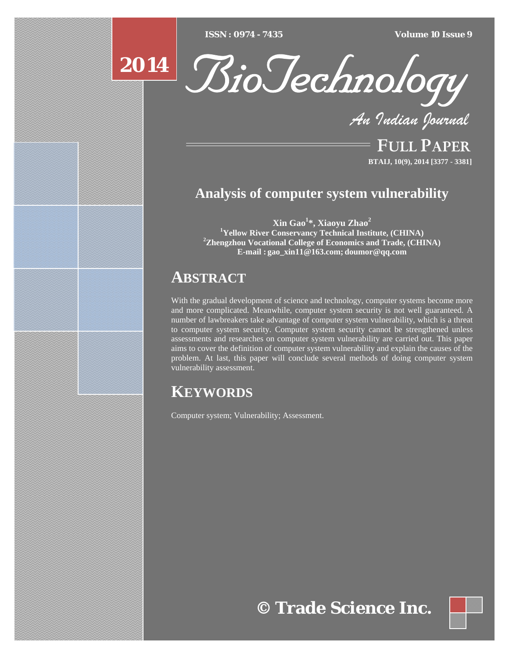[Type text] [Type text] [Type text] *ISSN : 0974 - 7435 Volume 10 Issue 9*

# **2014**



*An Indian Journal*

FULL PAPER **BTAIJ, 10(9), 2014 [3377 - 3381]**

### **Analysis of computer system vulnerability**

**Xin Gao1 \*, Xiaoyu Zhao<sup>2</sup>** <sup>1</sup>**Yellow River Conservancy Technical Institute, (CHINA) Zhengzhou Vocational College of Economics and Trade, (CHINA) E-mail : gao\_xin11@163.com; doumor@qq.com**

## **ABSTRACT**

With the gradual development of science and technology, computer systems become more and more complicated. Meanwhile, computer system security is not well guaranteed. A number of lawbreakers take advantage of computer system vulnerability, which is a threat to computer system security. Computer system security cannot be strengthened unless assessments and researches on computer system vulnerability are carried out. This paper aims to cover the definition of computer system vulnerability and explain the causes of the problem. At last, this paper will conclude several methods of doing computer system vulnerability assessment.

## **KEYWORDS**

Computer system; Vulnerability; Assessment.

## **© Trade Science Inc.**

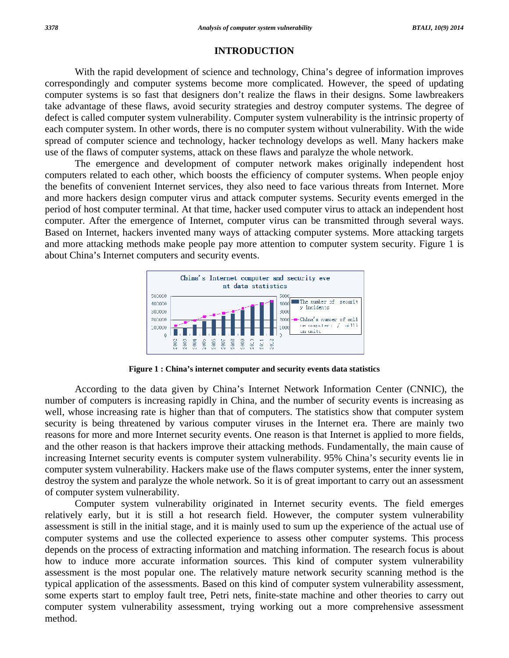#### **INTRODUCTION**

correspondingly and computer systems become more complicated. However, the speed of updating computer systems is so fast that designers don't realize the flaws in their designs. Some lawbreakers take advantage of these flaws, avoid security strategies and destroy computer systems. The degree of defect is called computer system vulnerability. Computer system vulnerability is the intrinsic property of each computer system. In other words, there is no computer system without vulnerability. With the wide spread of computer science and technology, hacker technology develops as well. Many hackers make use of the flaws of computer systems, attack on these flaws and paralyze the whole network. With the rapid development of science and technology, China's degree of information improves

computers related to each other, which boosts the efficiency of computer systems. When people enjoy the benefits of convenient Internet services, they also need to face various threats from Internet. More and more hackers design computer virus and attack computer systems. Security events emerged in the period of host computer terminal. At that time, hacker used computer virus to attack an independent host computer. After the emergence of Internet, computer virus can be transmitted through several ways. Based on Internet, hackers invented many ways of attacking computer systems. More attacking targets and more attacking methods make people pay more attention to computer system security. Figure 1 is about China's Internet computers and security events. The emergence and development of computer network makes originally independent host



Figure 1: China's internet computer and security events data statistics

number of computers is increasing rapidly in China, and the number of security events is increasing as well, whose increasing rate is higher than that of computers. The statistics show that computer system security is being threatened by various computer viruses in the Internet era. There are mainly two reasons for more and more Internet security events. One reason is that Internet is applied to more fields, and the other reason is that hackers improve their attacking methods. Fundamentally, the main cause of increasing Internet security events is computer system vulnerability. 95% China's security events lie in computer system vulnerability. Hackers make use of the flaws computer systems, enter the inner system, destroy the system and paralyze the whole network. So it is of great important to carry out an assessment o of computer system vuln nerability. According to the data given by China's Internet Network Information Center (CNNIC), the

relatively early, but it is still a hot research field. However, the computer system vulnerability assessment is still in the initial stage, and it is mainly used to sum up the experience of the actual use of computer systems and use the collected experience to assess other computer systems. This process depends on the process of extracting information and matching information. The research focus is about how to induce more accurate information sources. This kind of computer system vulnerability assessment is the most popular one. The relatively mature network security scanning method is the typical application of the assessments. Based on this kind of computer system vulnerability assessment, some experts start to employ fault tree, Petri nets, finite-state machine and other theories to carry out computer system vulnerability assessment, trying working out a more comprehensive assessment m method. Computer system vulnerability originated in Internet security events. The field emerges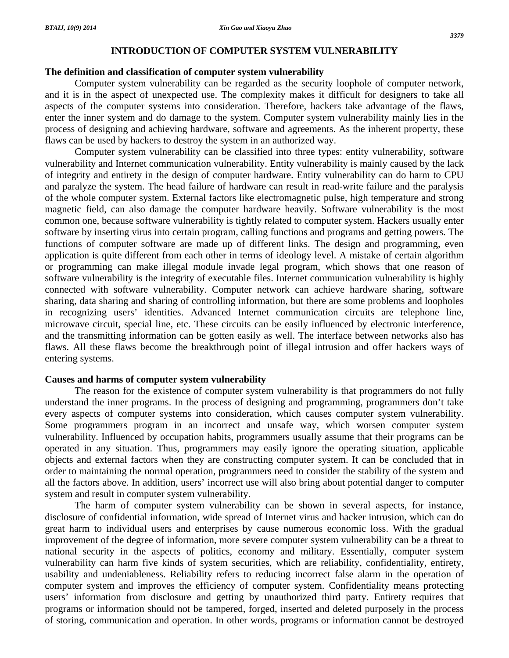#### **The definition and classification of computer system vulnerability**

 Computer system vulnerability can be regarded as the security loophole of computer network, and it is in the aspect of unexpected use. The complexity makes it difficult for designers to take all aspects of the computer systems into consideration. Therefore, hackers take advantage of the flaws, enter the inner system and do damage to the system. Computer system vulnerability mainly lies in the process of designing and achieving hardware, software and agreements. As the inherent property, these flaws can be used by hackers to destroy the system in an authorized way.

 Computer system vulnerability can be classified into three types: entity vulnerability, software vulnerability and Internet communication vulnerability. Entity vulnerability is mainly caused by the lack of integrity and entirety in the design of computer hardware. Entity vulnerability can do harm to CPU and paralyze the system. The head failure of hardware can result in read-write failure and the paralysis of the whole computer system. External factors like electromagnetic pulse, high temperature and strong magnetic field, can also damage the computer hardware heavily. Software vulnerability is the most common one, because software vulnerability is tightly related to computer system. Hackers usually enter software by inserting virus into certain program, calling functions and programs and getting powers. The functions of computer software are made up of different links. The design and programming, even application is quite different from each other in terms of ideology level. A mistake of certain algorithm or programming can make illegal module invade legal program, which shows that one reason of software vulnerability is the integrity of executable files. Internet communication vulnerability is highly connected with software vulnerability. Computer network can achieve hardware sharing, software sharing, data sharing and sharing of controlling information, but there are some problems and loopholes in recognizing users' identities. Advanced Internet communication circuits are telephone line, microwave circuit, special line, etc. These circuits can be easily influenced by electronic interference, and the transmitting information can be gotten easily as well. The interface between networks also has flaws. All these flaws become the breakthrough point of illegal intrusion and offer hackers ways of entering systems.

#### **Causes and harms of computer system vulnerability**

 The reason for the existence of computer system vulnerability is that programmers do not fully understand the inner programs. In the process of designing and programming, programmers don't take every aspects of computer systems into consideration, which causes computer system vulnerability. Some programmers program in an incorrect and unsafe way, which worsen computer system vulnerability. Influenced by occupation habits, programmers usually assume that their programs can be operated in any situation. Thus, programmers may easily ignore the operating situation, applicable objects and external factors when they are constructing computer system. It can be concluded that in order to maintaining the normal operation, programmers need to consider the stability of the system and all the factors above. In addition, users' incorrect use will also bring about potential danger to computer system and result in computer system vulnerability.

 The harm of computer system vulnerability can be shown in several aspects, for instance, disclosure of confidential information, wide spread of Internet virus and hacker intrusion, which can do great harm to individual users and enterprises by cause numerous economic loss. With the gradual improvement of the degree of information, more severe computer system vulnerability can be a threat to national security in the aspects of politics, economy and military. Essentially, computer system vulnerability can harm five kinds of system securities, which are reliability, confidentiality, entirety, usability and undeniableness. Reliability refers to reducing incorrect false alarm in the operation of computer system and improves the efficiency of computer system. Confidentiality means protecting users' information from disclosure and getting by unauthorized third party. Entirety requires that programs or information should not be tampered, forged, inserted and deleted purposely in the process of storing, communication and operation. In other words, programs or information cannot be destroyed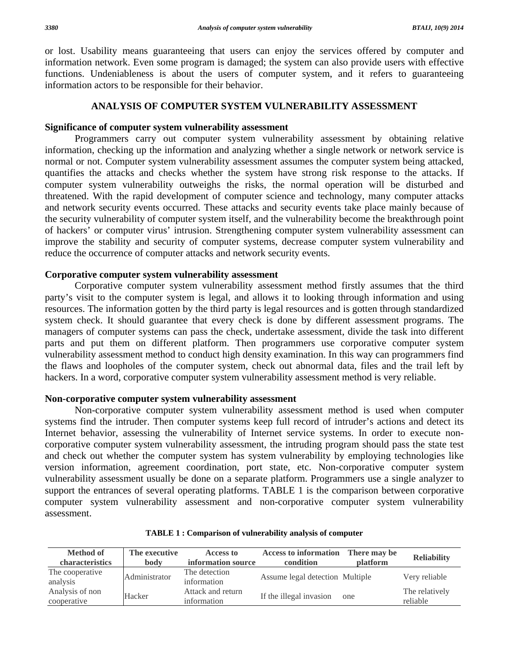or lost. Usability means guaranteeing that users can enjoy the services offered by computer and information network. Even some program is damaged; the system can also provide users with effective functions. Undeniableness is about the users of computer system, and it refers to guaranteeing information actors to be responsible for their behavior.

#### **ANALYSIS OF COMPUTER SYSTEM VULNERABILITY ASSESSMENT**

#### **Significance of computer system vulnerability assessment**

 Programmers carry out computer system vulnerability assessment by obtaining relative information, checking up the information and analyzing whether a single network or network service is normal or not. Computer system vulnerability assessment assumes the computer system being attacked, quantifies the attacks and checks whether the system have strong risk response to the attacks. If computer system vulnerability outweighs the risks, the normal operation will be disturbed and threatened. With the rapid development of computer science and technology, many computer attacks and network security events occurred. These attacks and security events take place mainly because of the security vulnerability of computer system itself, and the vulnerability become the breakthrough point of hackers' or computer virus' intrusion. Strengthening computer system vulnerability assessment can improve the stability and security of computer systems, decrease computer system vulnerability and reduce the occurrence of computer attacks and network security events.

#### **Corporative computer system vulnerability assessment**

 Corporative computer system vulnerability assessment method firstly assumes that the third party's visit to the computer system is legal, and allows it to looking through information and using resources. The information gotten by the third party is legal resources and is gotten through standardized system check. It should guarantee that every check is done by different assessment programs. The managers of computer systems can pass the check, undertake assessment, divide the task into different parts and put them on different platform. Then programmers use corporative computer system vulnerability assessment method to conduct high density examination. In this way can programmers find the flaws and loopholes of the computer system, check out abnormal data, files and the trail left by hackers. In a word, corporative computer system vulnerability assessment method is very reliable.

#### **Non-corporative computer system vulnerability assessment**

 Non-corporative computer system vulnerability assessment method is used when computer systems find the intruder. Then computer systems keep full record of intruder's actions and detect its Internet behavior, assessing the vulnerability of Internet service systems. In order to execute noncorporative computer system vulnerability assessment, the intruding program should pass the state test and check out whether the computer system has system vulnerability by employing technologies like version information, agreement coordination, port state, etc. Non-corporative computer system vulnerability assessment usually be done on a separate platform. Programmers use a single analyzer to support the entrances of several operating platforms. TABLE 1 is the comparison between corporative computer system vulnerability assessment and non-corporative computer system vulnerability assessment.

| <b>Method of</b><br>characteristics | The executive<br>body | Access to<br>information source  | <b>Access to information</b><br>condition | There may be<br><b>platform</b> | <b>Reliability</b>         |
|-------------------------------------|-----------------------|----------------------------------|-------------------------------------------|---------------------------------|----------------------------|
| The cooperative<br>analysis         | Administrator         | The detection<br>information     | Assume legal detection Multiple           |                                 | Very reliable              |
| Analysis of non<br>cooperative      | Hacker                | Attack and return<br>information | If the illegal invasion                   | one                             | The relatively<br>reliable |

| TABLE 1: Comparison of vulnerability analysis of computer |  |
|-----------------------------------------------------------|--|
|-----------------------------------------------------------|--|